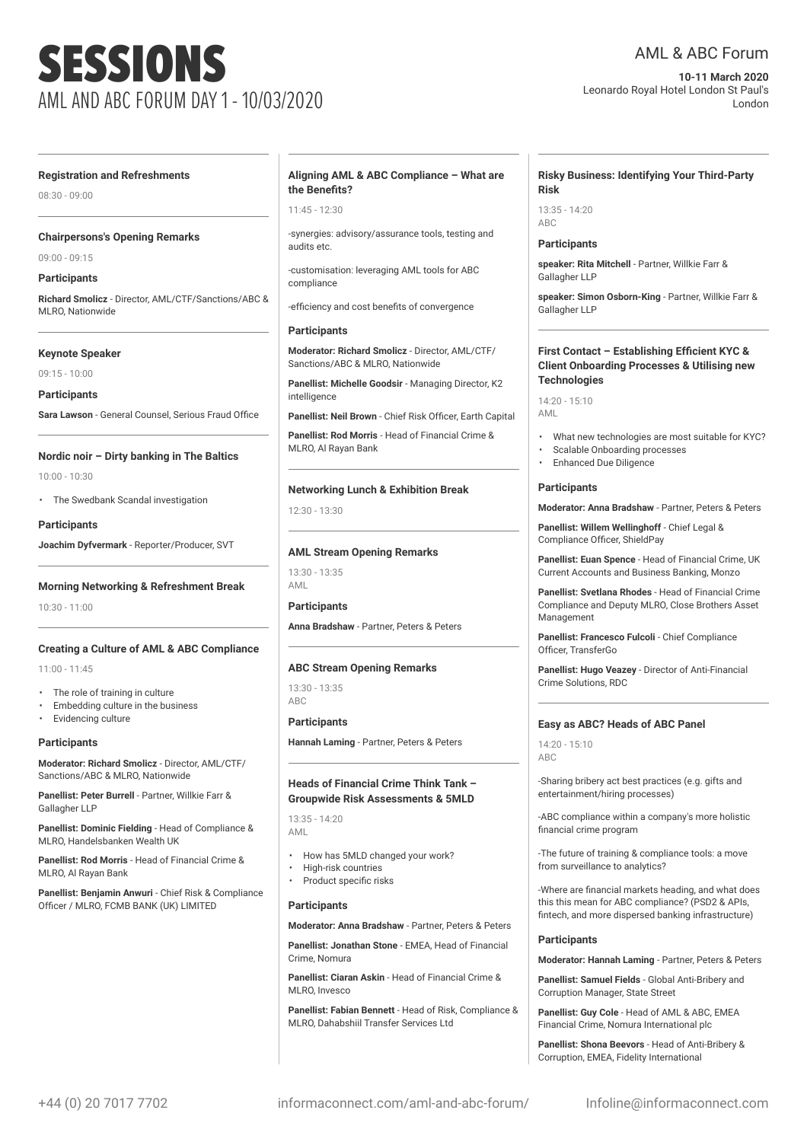# SESSIONS AML AND ABC FORUM DAY 1 - 10/03/2020

### AML & ABC Forum

**10-11 March 2020** Leonardo Royal Hotel London St Paul's London

#### **Registration and Refreshments**

08:30 - 09:00

#### **Chairpersons's Opening Remarks**

09:00 - 09:15

#### **Participants**

**Richard Smolicz** - Director, AML/CTF/Sanctions/ABC & MLRO, Nationwide

#### **Keynote Speaker**

09:15 - 10:00

**Participants**

**Sara Lawson** - General Counsel, Serious Fraud Office

### **Nordic noir – Dirty banking in The Baltics**

10:00 - 10:30

• The Swedbank Scandal investigation

**Participants Joachim Dyfvermark** - Reporter/Producer, SVT

**Morning Networking & Refreshment Break**

10:30 - 11:00

#### **Creating a Culture of AML & ABC Compliance**

11:00 - 11:45

- The role of training in culture
- Embedding culture in the business
- Evidencing culture

#### **Participants**

**Moderator: Richard Smolicz** - Director, AML/CTF/ Sanctions/ABC & MLRO, Nationwide

**Panellist: Peter Burrell** - Partner, Willkie Farr & Gallagher LLP

**Panellist: Dominic Fielding** - Head of Compliance & MLRO, Handelsbanken Wealth UK

**Panellist: Rod Morris** - Head of Financial Crime & MLRO, AL Rayan Bank

**Panellist: Benjamin Anwuri** - Chief Risk & Compliance Officer / MLRO, FCMB BANK (UK) LIMITED

#### **Aligning AML & ABC Compliance – What are the Benefits?**

 $11:45 - 12:30$ 

-synergies: advisory/assurance tools, testing and audits etc.

-customisation: leveraging AML tools for ABC compliance

-efficiency and cost benefits of convergence

#### **Participants**

**Moderator: Richard Smolicz** - Director, AML/CTF/ Sanctions/ABC & MLRO, Nationwide

**Panellist: Michelle Goodsir** - Managing Director, K2 intelligence

**Panellist: Neil Brown** - Chief Risk Officer, Earth Capital

**Panellist: Rod Morris** - Head of Financial Crime & MLRO, Al Rayan Bank

#### **Networking Lunch & Exhibition Break**

12:30 - 13:30

#### **AML Stream Opening Remarks**

13:30 - 13:35 AML

#### **Participants**

**Anna Bradshaw** - Partner, Peters & Peters

#### **ABC Stream Opening Remarks**

13:30 - 13:35 ABC

#### **Participants**

**Hannah Laming** - Partner, Peters & Peters

#### **Heads of Financial Crime Think Tank – Groupwide Risk Assessments & 5MLD**

13:35 - 14:20 AML

- How has 5MLD changed your work?
- High-risk countries
- Product specific risks

#### **Participants**

**Moderator: Anna Bradshaw** - Partner, Peters & Peters

**Panellist: Jonathan Stone** - EMEA, Head of Financial Crime, Nomura

**Panellist: Ciaran Askin** - Head of Financial Crime & MLRO, Invesco

**Panellist: Fabian Bennett** - Head of Risk, Compliance & MLRO, Dahabshiil Transfer Services Ltd

#### **Risky Business: Identifying Your Third-Party Risk**

 $13.35 - 14.20$ ABC

#### **Participants**

**speaker: Rita Mitchell** - Partner, Willkie Farr & Gallagher LLP

**speaker: Simon Osborn-King** - Partner, Willkie Farr & Gallagher LLP

#### **First Contact – Establishing Efficient KYC & Client Onboarding Processes & Utilising new Technologies**

14:20 - 15:10 AML

- What new technologies are most suitable for KYC?
- Scalable Onboarding processes
	- Enhanced Due Diligence

#### **Participants**

**Moderator: Anna Bradshaw** - Partner, Peters & Peters

**Panellist: Willem Wellinghoff** - Chief Legal & Compliance Officer, ShieldPay

**Panellist: Euan Spence** - Head of Financial Crime, UK Current Accounts and Business Banking, Monzo

**Panellist: Svetlana Rhodes** - Head of Financial Crime Compliance and Deputy MLRO, Close Brothers Asset Management

**Panellist: Francesco Fulcoli** - Chief Compliance Officer, TransferGo

**Panellist: Hugo Veazey** - Director of Anti-Financial Crime Solutions, RDC

#### **Easy as ABC? Heads of ABC Panel**

14:20 - 15:10 ABC

-Sharing bribery act best practices (e.g. gifts and entertainment/hiring processes)

-ABC compliance within a company's more holistic financial crime program

-The future of training & compliance tools: a move from surveillance to analytics?

-Where are financial markets heading, and what does this this mean for ABC compliance? (PSD2 & APIs, fintech, and more dispersed banking infrastructure)

#### **Participants**

**Moderator: Hannah Laming** - Partner, Peters & Peters

**Panellist: Samuel Fields** - Global Anti-Bribery and Corruption Manager, State Street

**Panellist: Guy Cole** - Head of AML & ABC, EMEA Financial Crime, Nomura International plc

**Panellist: Shona Beevors** - Head of Anti-Bribery & Corruption, EMEA, Fidelity International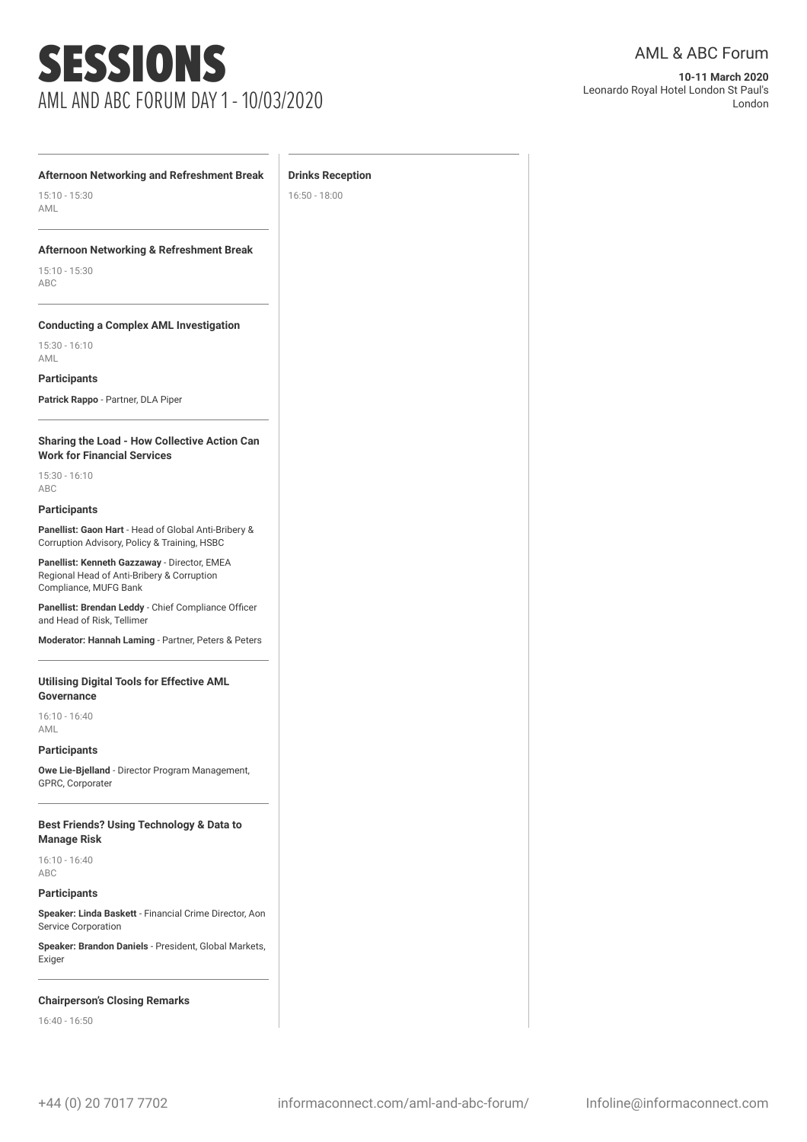## SESSIONS AML AND ABC FORUM DAY 1 - 10/03/2020

**Drinks Reception** 16:50 - 18:00

**10-11 March 2020** Leonardo Royal Hotel London St Paul's London

#### **Afternoon Networking and Refreshment Break**

15:10 - 15:30 AML

#### **Afternoon Networking & Refreshment Break**

15:10 - 15:30 ABC

#### **Conducting a Complex AML Investigation**

15:30 - 16:10 AML

**Participants**

**Patrick Rappo** - Partner, DLA Piper

#### **Sharing the Load - How Collective Action Can Work for Financial Services**

15:30 - 16:10 ABC

#### **Participants**

**Panellist: Gaon Hart** - Head of Global Anti-Bribery & Corruption Advisory, Policy & Training, HSBC

**Panellist: Kenneth Gazzaway** - Director, EMEA Regional Head of Anti-Bribery & Corruption Compliance, MUFG Bank

**Panellist: Brendan Leddy** - Chief Compliance Officer and Head of Risk, Tellimer

**Moderator: Hannah Laming** - Partner, Peters & Peters

#### **Utilising Digital Tools for Effective AML Governance**

16:10 - 16:40 AML

**Participants**

**Owe Lie-Bjelland** - Director Program Management, GPRC, Corporater

#### **Best Friends? Using Technology & Data to Manage Risk**

16:10 - 16:40 ABC

#### **Participants**

**Speaker: Linda Baskett** - Financial Crime Director, Aon Service Corporation

**Speaker: Brandon Daniels** - President, Global Markets, Exiger

#### **Chairperson's Closing Remarks**

16:40 - 16:50

#### +44 (0) 20 7017 7702 informaconnect.com/aml-and-abc-forum/ Infoline@informaconnect.com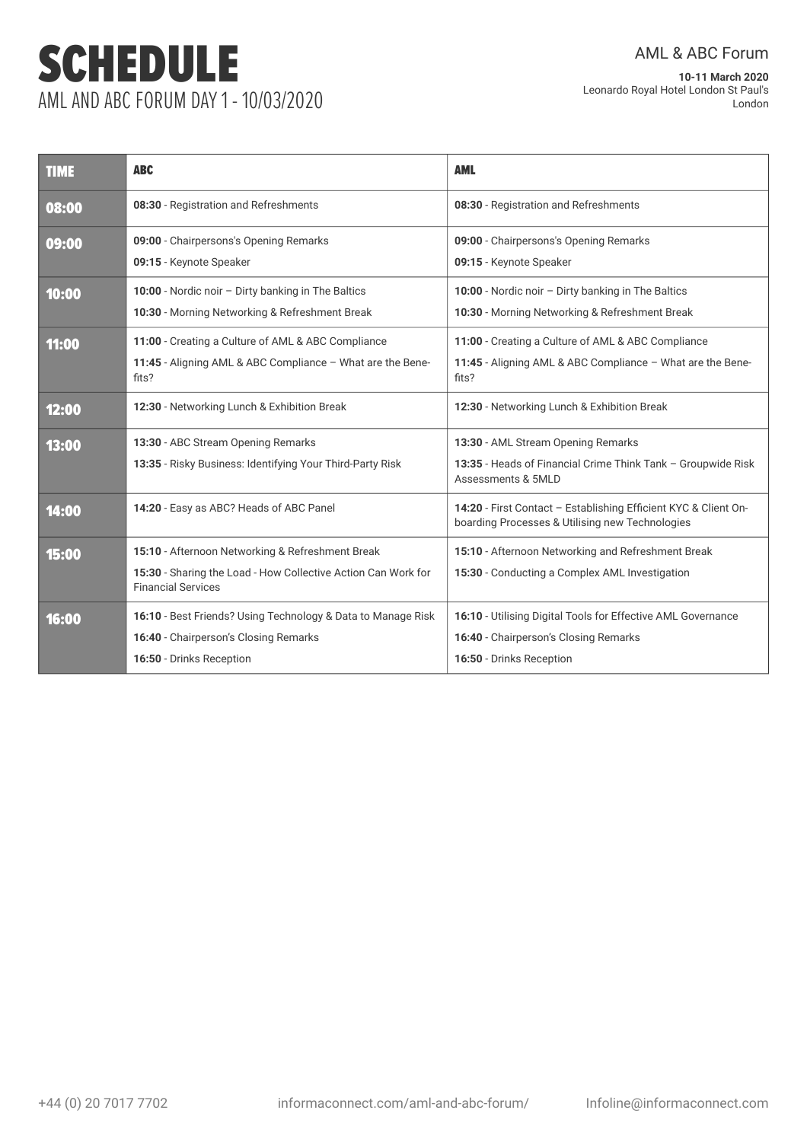# SCHEDULE AML AND ABC FORUM DAY 1 - 10/03/2020

AML & ABC Forum

**10-11 March 2020** Leonardo Royal Hotel London St Paul's London

| <b>TIME</b> | <b>ABC</b>                                                                                 | <b>AML</b>                                                                                                         |
|-------------|--------------------------------------------------------------------------------------------|--------------------------------------------------------------------------------------------------------------------|
| 08:00       | 08:30 - Registration and Refreshments                                                      | 08:30 - Registration and Refreshments                                                                              |
| 09:00       | 09:00 - Chairpersons's Opening Remarks                                                     | 09:00 - Chairpersons's Opening Remarks                                                                             |
|             | 09:15 - Keynote Speaker                                                                    | 09:15 - Keynote Speaker                                                                                            |
| 10:00       | 10:00 - Nordic noir - Dirty banking in The Baltics                                         | 10:00 - Nordic noir - Dirty banking in The Baltics                                                                 |
|             | 10:30 - Morning Networking & Refreshment Break                                             | 10:30 - Morning Networking & Refreshment Break                                                                     |
| 11:00       | 11:00 - Creating a Culture of AML & ABC Compliance                                         | 11:00 - Creating a Culture of AML & ABC Compliance                                                                 |
|             | 11:45 - Aligning AML & ABC Compliance - What are the Bene-<br>fits?                        | 11:45 - Aligning AML & ABC Compliance - What are the Bene-<br>fits?                                                |
| 12:00       | 12:30 - Networking Lunch & Exhibition Break                                                | 12:30 - Networking Lunch & Exhibition Break                                                                        |
| 13:00       | 13:30 - ABC Stream Opening Remarks                                                         | 13:30 - AML Stream Opening Remarks                                                                                 |
|             | 13:35 - Risky Business: Identifying Your Third-Party Risk                                  | 13:35 - Heads of Financial Crime Think Tank - Groupwide Risk<br>Assessments & 5MLD                                 |
| 14:00       | 14:20 - Easy as ABC? Heads of ABC Panel                                                    | 14:20 - First Contact - Establishing Efficient KYC & Client On-<br>boarding Processes & Utilising new Technologies |
| 15:00       | 15:10 - Afternoon Networking & Refreshment Break                                           | 15:10 - Afternoon Networking and Refreshment Break                                                                 |
|             | 15:30 - Sharing the Load - How Collective Action Can Work for<br><b>Financial Services</b> | 15:30 - Conducting a Complex AML Investigation                                                                     |
| 16:00       | 16:10 - Best Friends? Using Technology & Data to Manage Risk                               | 16:10 - Utilising Digital Tools for Effective AML Governance                                                       |
|             | 16:40 - Chairperson's Closing Remarks                                                      | 16:40 - Chairperson's Closing Remarks                                                                              |
|             | 16:50 - Drinks Reception                                                                   | 16:50 - Drinks Reception                                                                                           |
|             |                                                                                            |                                                                                                                    |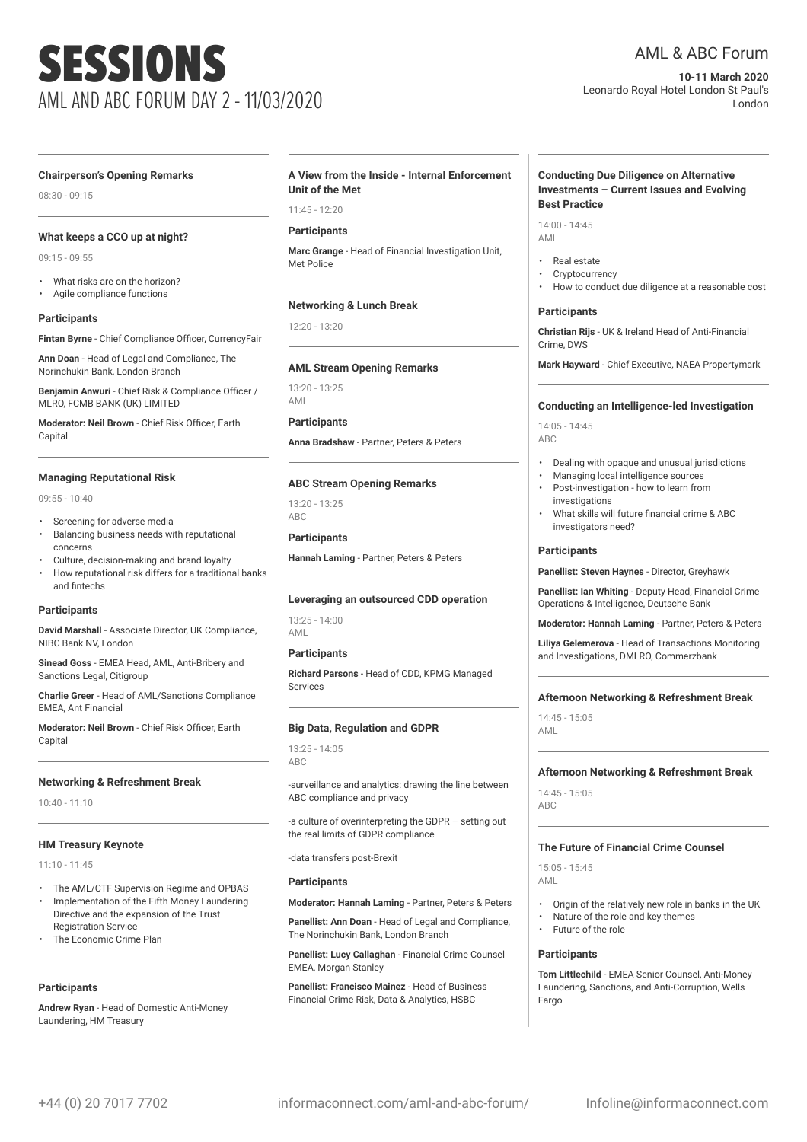# SESSIONS AML AND ABC FORUM DAY 2 - 11/03/2020

### AML & ABC Forum

**10-11 March 2020** Leonardo Royal Hotel London St Paul's London

#### **Chairperson's Opening Remarks**

08:30 - 09:15

#### **What keeps a CCO up at night?**

09:15 - 09:55

- 
- What risks are on the horizon? • Agile compliance functions

#### **Participants**

**Fintan Byrne** - Chief Compliance Officer, CurrencyFair

**Ann Doan** - Head of Legal and Compliance, The Norinchukin Bank, London Branch

**Benjamin Anwuri** - Chief Risk & Compliance Officer / MLRO, FCMB BANK (UK) LIMITED

**Moderator: Neil Brown** - Chief Risk Officer, Earth Capital

#### **Managing Reputational Risk**

09:55 - 10:40

- Screening for adverse media
- Balancing business needs with reputational concerns
- Culture, decision-making and brand loyalty
- How reputational risk differs for a traditional banks and fintechs

#### **Participants**

**David Marshall** - Associate Director, UK Compliance, NIBC Bank NV, London

**Sinead Goss** - EMEA Head, AML, Anti-Bribery and Sanctions Legal, Citigroup

**Charlie Greer** - Head of AML/Sanctions Compliance EMEA, Ant Financial

**Moderator: Neil Brown** - Chief Risk Officer, Earth Capital

#### **Networking & Refreshment Break**

10:40 - 11:10

#### **HM Treasury Keynote**

11:10 - 11:45

- The AML/CTF Supervision Regime and OPBAS • Implementation of the Fifth Money Laundering Directive and the expansion of the Trust
- Registration Service • The Economic Crime Plan
- 

#### **Participants**

**Andrew Ryan** - Head of Domestic Anti-Money Laundering, HM Treasury

#### **A View from the Inside - Internal Enforcement Unit of the Met**

 $11:45 - 12:20$ 

#### **Participants**

**Marc Grange** - Head of Financial Investigation Unit, Met Police

#### **Networking & Lunch Break**

 $12:20 - 13:20$ 

#### **AML Stream Opening Remarks**

13:20 - 13:25 AML

#### **Participants**

**Anna Bradshaw** - Partner, Peters & Peters

#### **ABC Stream Opening Remarks**

 $13.20 - 13.25$ ABC

**Participants Hannah Laming** - Partner, Peters & Peters

### **Leveraging an outsourced CDD operation**

13:25 - 14:00 AML

#### **Participants**

**Richard Parsons** - Head of CDD, KPMG Managed **Services** 

#### **Big Data, Regulation and GDPR**

13:25 - 14:05 ABC

-surveillance and analytics: drawing the line between ABC compliance and privacy

-a culture of overinterpreting the GDPR – setting out the real limits of GDPR compliance

-data transfers post-Brexit

#### **Participants**

**Moderator: Hannah Laming** - Partner, Peters & Peters

**Panellist: Ann Doan** - Head of Legal and Compliance, The Norinchukin Bank, London Branch

**Panellist: Lucy Callaghan** - Financial Crime Counsel EMEA, Morgan Stanley

**Panellist: Francisco Mainez** - Head of Business Financial Crime Risk, Data & Analytics, HSBC

#### **Conducting Due Diligence on Alternative Investments – Current Issues and Evolving Best Practice**

14:00 - 14:45 AML

- Real estate
- **Cryptocurrency**
- How to conduct due diligence at a reasonable cost

#### **Participants**

**Christian Rijs** - UK & Ireland Head of Anti-Financial Crime, DWS

**Mark Hayward** - Chief Executive, NAEA Propertymark

#### **Conducting an Intelligence-led Investigation**

14:05 - 14:45  $\triangle$ BC

- Dealing with opaque and unusual jurisdictions
- Managing local intelligence sources
- Post-investigation how to learn from investigations
- What skills will future financial crime & ABC investigators need?

#### **Participants**

**Panellist: Steven Haynes** - Director, Greyhawk

**Panellist: Ian Whiting** - Deputy Head, Financial Crime Operations & Intelligence, Deutsche Bank

#### **Moderator: Hannah Laming** - Partner, Peters & Peters

**Liliya Gelemerova** - Head of Transactions Monitoring and Investigations, DMLRO, Commerzbank

#### **Afternoon Networking & Refreshment Break**

14:45 - 15:05 AML

#### **Afternoon Networking & Refreshment Break**

14:45 - 15:05 ABC

#### **The Future of Financial Crime Counsel**

15:05 - 15:45 AML

- Origin of the relatively new role in banks in the UK
- Nature of the role and key themes
- Future of the role

#### **Participants**

**Tom Littlechild** - EMEA Senior Counsel, Anti-Money Laundering, Sanctions, and Anti-Corruption, Wells Fargo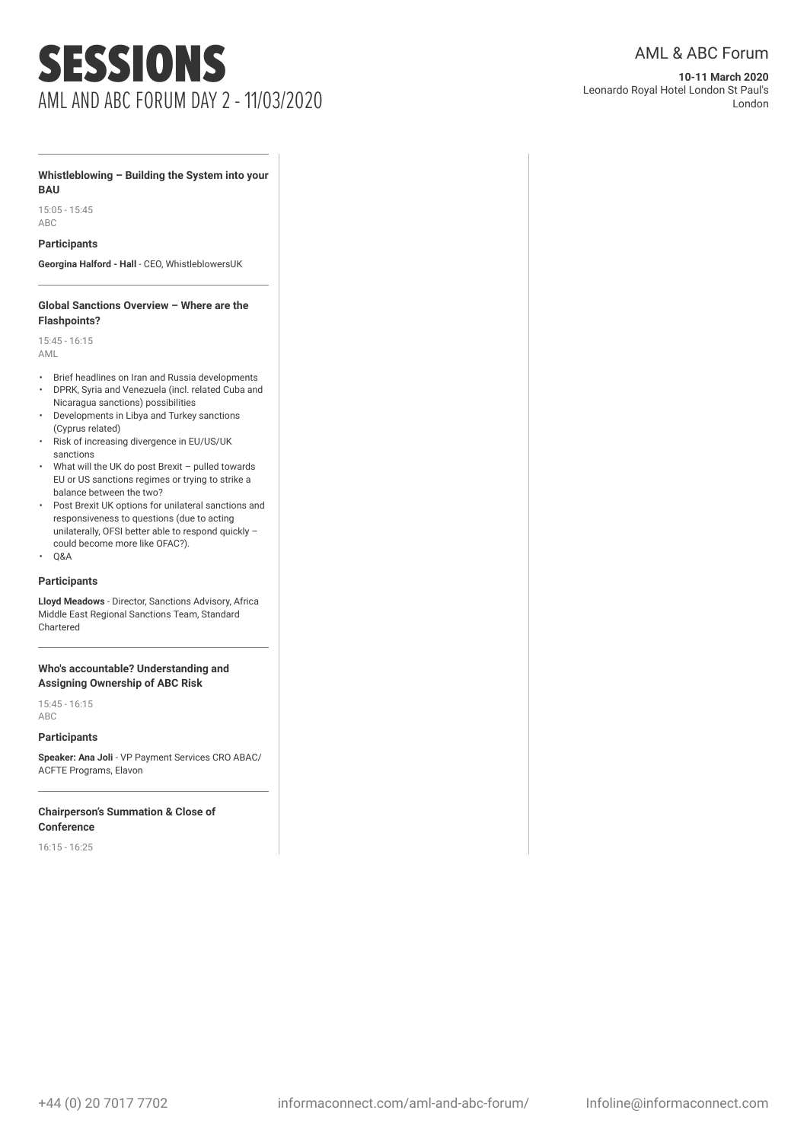## SESSIONS AML AND ABC FORUM DAY 2 - 11/03/2020

**10-11 March 2020** Leonardo Royal Hotel London St Paul's London

#### **Whistleblowing – Building the System into your BAU**

15:05 - 15:45 ABC

#### **Participants**

**Georgina Halford - Hall** - CEO, WhistleblowersUK

#### **Global Sanctions Overview – Where are the Flashpoints?**

15:45 - 16:15 AML

- Brief headlines on Iran and Russia developments
- DPRK, Syria and Venezuela (incl. related Cuba and Nicaragua sanctions) possibilities
- Developments in Libya and Turkey sanctions (Cyprus related)
- Risk of increasing divergence in EU/US/UK sanctions
- What will the UK do post Brexit pulled towards EU or US sanctions regimes or trying to strike a balance between the two?
- Post Brexit UK options for unilateral sanctions and responsiveness to questions (due to acting unilaterally, OFSI better able to respond quickly – could become more like OFAC?).
- Q&A

#### **Participants**

**Lloyd Meadows** - Director, Sanctions Advisory, Africa Middle East Regional Sanctions Team, Standard Chartered

#### **Who's accountable? Understanding and Assigning Ownership of ABC Risk**

15:45 - 16:15 ABC

### **Participants**

**Speaker: Ana Joli** - VP Payment Services CRO ABAC/ ACFTE Programs, Elavon

#### **Chairperson's Summation & Close of Conference**

16:15 - 16:25